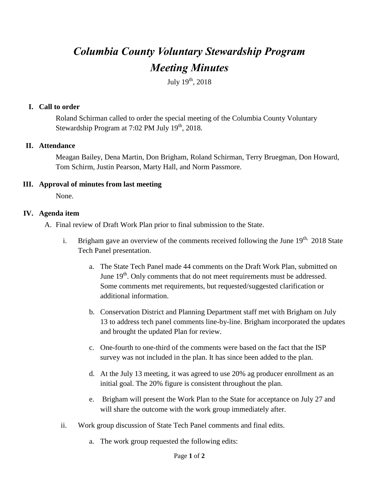# *Columbia County Voluntary Stewardship Program Meeting Minutes*

July 19<sup>th</sup>, 2018

### **I. Call to order**

Roland Schirman called to order the special meeting of the Columbia County Voluntary Stewardship Program at  $7:02$  PM July  $19<sup>th</sup>$ , 2018.

#### **II. Attendance**

Meagan Bailey, Dena Martin, Don Brigham, Roland Schirman, Terry Bruegman, Don Howard, Tom Schirm, Justin Pearson, Marty Hall, and Norm Passmore.

#### **III. Approval of minutes from last meeting**

None.

#### **IV. Agenda item**

A. Final review of Draft Work Plan prior to final submission to the State.

- i. Brigham gave an overview of the comments received following the June  $19<sup>th</sup>$ , 2018 State Tech Panel presentation.
	- a. The State Tech Panel made 44 comments on the Draft Work Plan, submitted on June  $19<sup>th</sup>$ . Only comments that do not meet requirements must be addressed. Some comments met requirements, but requested/suggested clarification or additional information.
	- b. Conservation District and Planning Department staff met with Brigham on July 13 to address tech panel comments line-by-line. Brigham incorporated the updates and brought the updated Plan for review.
	- c. One-fourth to one-third of the comments were based on the fact that the ISP survey was not included in the plan. It has since been added to the plan.
	- d. At the July 13 meeting, it was agreed to use 20% ag producer enrollment as an initial goal. The 20% figure is consistent throughout the plan.
	- e. Brigham will present the Work Plan to the State for acceptance on July 27 and will share the outcome with the work group immediately after.
- ii. Work group discussion of State Tech Panel comments and final edits.
	- a. The work group requested the following edits: